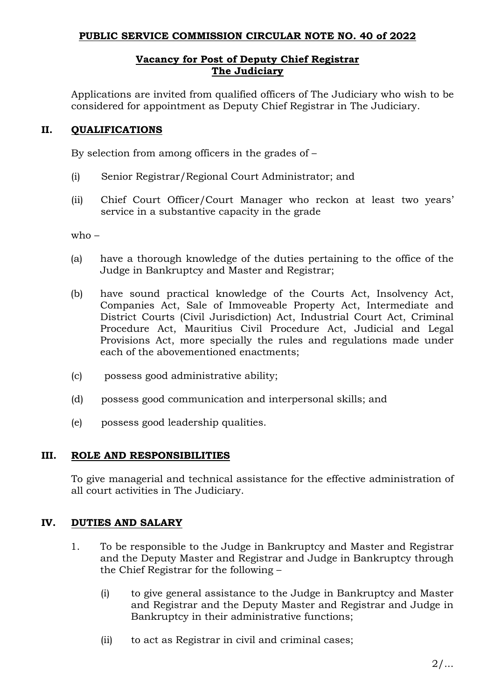## **PUBLIC SERVICE COMMISSION CIRCULAR NOTE NO. 40 of 2022**

## **Vacancy for Post of Deputy Chief Registrar The Judiciary**

Applications are invited from qualified officers of The Judiciary who wish to be considered for appointment as Deputy Chief Registrar in The Judiciary.

# **II. QUALIFICATIONS**

By selection from among officers in the grades of –

- (i) Senior Registrar/Regional Court Administrator; and
- (ii) Chief Court Officer/Court Manager who reckon at least two years' service in a substantive capacity in the grade

who –

- (a) have a thorough knowledge of the duties pertaining to the office of the Judge in Bankruptcy and Master and Registrar;
- (b) have sound practical knowledge of the Courts Act, Insolvency Act, Companies Act, Sale of Immoveable Property Act, Intermediate and District Courts (Civil Jurisdiction) Act, Industrial Court Act, Criminal Procedure Act, Mauritius Civil Procedure Act, Judicial and Legal Provisions Act, more specially the rules and regulations made under each of the abovementioned enactments;
- (c) possess good administrative ability;
- (d) possess good communication and interpersonal skills; and
- (e) possess good leadership qualities.

## **III. ROLE AND RESPONSIBILITIES**

To give managerial and technical assistance for the effective administration of all court activities in The Judiciary.

## **IV. DUTIES AND SALARY**

- 1. To be responsible to the Judge in Bankruptcy and Master and Registrar and the Deputy Master and Registrar and Judge in Bankruptcy through the Chief Registrar for the following –
	- (i) to give general assistance to the Judge in Bankruptcy and Master and Registrar and the Deputy Master and Registrar and Judge in Bankruptcy in their administrative functions;
	- (ii) to act as Registrar in civil and criminal cases;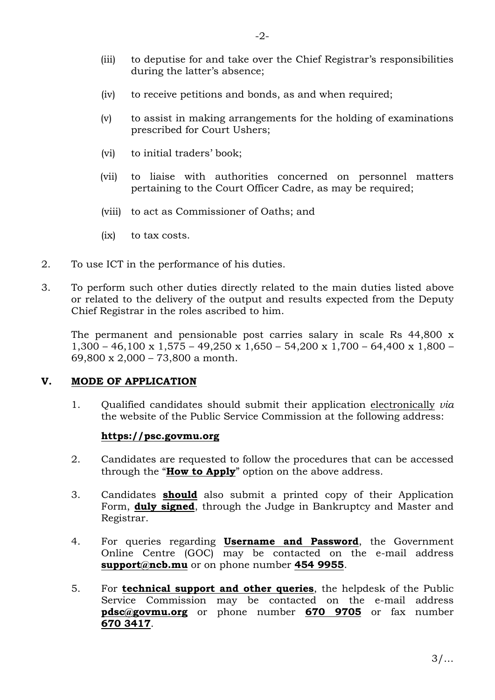- (iii) to deputise for and take over the Chief Registrar's responsibilities during the latter's absence;
- (iv) to receive petitions and bonds, as and when required;
- (v) to assist in making arrangements for the holding of examinations prescribed for Court Ushers;
- (vi) to initial traders' book;
- (vii) to liaise with authorities concerned on personnel matters pertaining to the Court Officer Cadre, as may be required;
- (viii) to act as Commissioner of Oaths; and
- (ix) to tax costs.
- 2. To use ICT in the performance of his duties.
- 3. To perform such other duties directly related to the main duties listed above or related to the delivery of the output and results expected from the Deputy Chief Registrar in the roles ascribed to him.

The permanent and pensionable post carries salary in scale Rs 44,800 x 1,300 – 46,100 x 1,575 – 49,250 x 1,650 – 54,200 x 1,700 – 64,400 x 1,800 – 69,800 x 2,000 – 73,800 a month.

## **V. MODE OF APPLICATION**

1. Qualified candidates should submit their application electronically *via* the website of the Public Service Commission at the following address:

#### **https://psc.govmu.org**

- 2. Candidates are requested to follow the procedures that can be accessed through the "**How to Apply**" option on the above address.
- 3. Candidates **should** also submit a printed copy of their Application Form, **duly signed**, through the Judge in Bankruptcy and Master and Registrar.
- 4. For queries regarding **Username and Password**, the Government Online Centre (GOC) may be contacted on the e-mail address **[support@ncb.mu](mailto:support@ncb.mu)** or on phone number **454 9955**.
- 5. For **technical support and other queries**, the helpdesk of the Public Service Commission may be contacted on the e-mail address **[pdsc@govmu.org](mailto:pdsc@govmu.org)** or phone number **670 9705** or fax number **670 3417**.